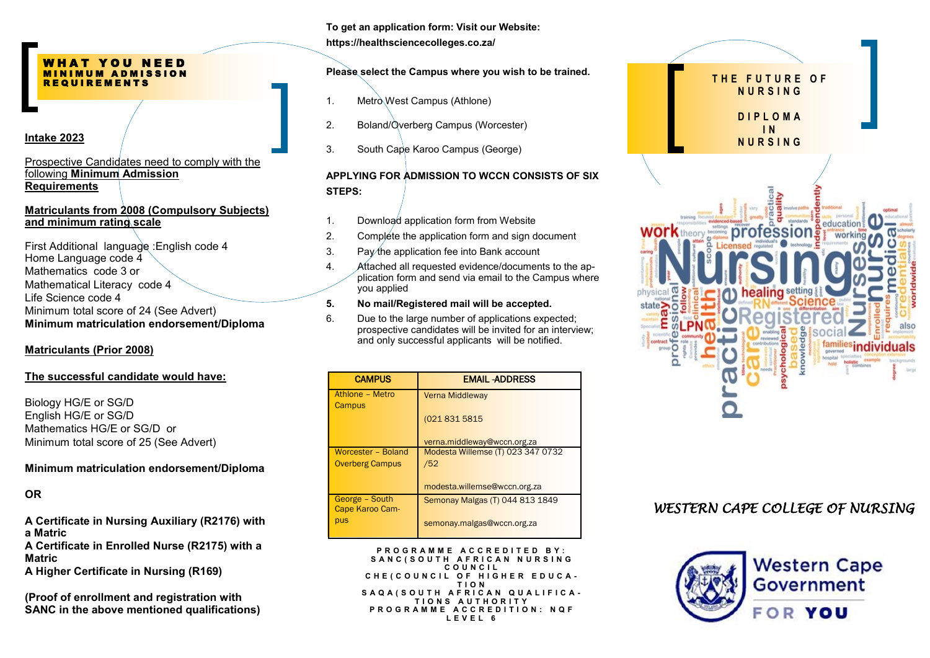#### WHAT YOU NEED M I N I M U M A D M I S S I O N R E Q U I R E M E N T S

Prospective Candidates need to comply with the following **Minimum Admission Requirements**

#### **Matriculants from 2008 (Compulsory Subjects) and minimum rating scale**

First Additional language :English code 4 Home Language code 4 Mathematics code 3 or Mathematical Literacy code 4 Life Science code 4 Minimum total score of 24 (See Advert) **Minimum matriculation endorsement/Diploma** 

#### **Matriculants (Prior 2008)**

#### **The successful candidate would have:**

Biology HG/E or SG/D English HG/E or SG/D Mathematics HG/E or SG/D or Minimum total score of 25 (See Advert)

#### **Minimum matriculation endorsement/Diploma**

## **OR**

**A Certificate in Nursing Auxiliary (R2176) with a Matric**

**A Certificate in Enrolled Nurse (R2175) with a Matric** 

**A Higher Certificate in Nursing (R169)**

**(Proof of enrollment and registration with SANC in the above mentioned qualifications)** **To get an application form: Visit our Website: https://healthsciencecolleges.co.za/**

# **Please select the Campus where you wish to be trained.**

- 1. Metro West Campus (Athlone)
- 2. Boland/Overberg Campus (Worcester)
- 3. South Cape Karoo Campus (George)

# **APPLYING FOR ADMISSION TO WCCN CONSISTS OF SIX STEPS:**

- 1. Download application form from Website
- 2. Complete the application form and sign document
- 3. Pay the application fee into Bank account
- 4. Attached all requested evidence/documents to the application form and send via email to the Campus where you applied

### **5. No mail/Registered mail will be accepted.**

6. Due to the large number of applications expected; prospective candidates will be invited for an interview; and only successful applicants will be notified.

| <b>CAMPUS</b>          | <b>EMAIL-ADDRESS</b>              |
|------------------------|-----------------------------------|
| Athlone - Metro        | <b>Verna Middleway</b>            |
| Campus                 |                                   |
|                        | (021 831 5815                     |
|                        | verna.middleway@wccn.org.za       |
| Worcester - Boland     | Modesta Willemse (T) 023 347 0732 |
| <b>Overberg Campus</b> | /52                               |
|                        |                                   |
|                        | modesta.willemse@wccn.org.za      |
| George - South         | Semonay Malgas (T) 044 813 1849   |
| Cape Karoo Cam-        |                                   |
| pus                    | semonay.malgas@wccn.org.za        |

 **P R O G R A M M E A C C R E D I T E D B Y : S A N C ( S O U T H A F R I C A N N U R S I N G C O U N C I L** CHE ( COUNCIL OF HIGHER EDUCA -**T I O N S A Q A ( S O U T H A F R I C A N Q U A L I F I C A - T I O N S A U T H O R I T Y P R O G R A M M E A C C R E D I T I O N : N Q F L E V E L 6**



# *WESTERN CAPE COLLEGE OF NURSING*